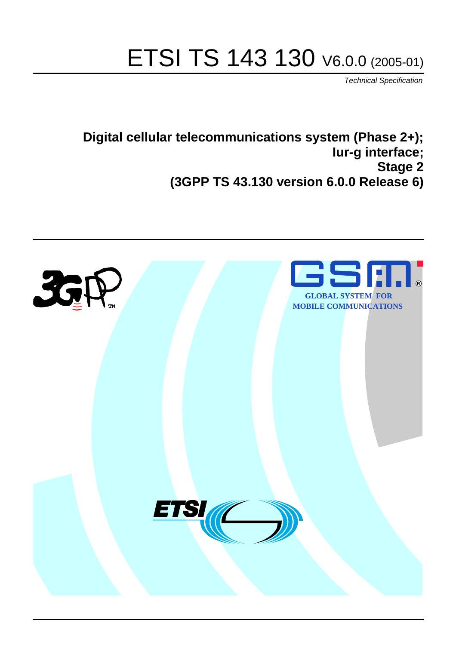# ETSI TS 143 130 V6.0.0 (2005-01)

Technical Specification

**Digital cellular telecommunications system (Phase 2+); Iur-g interface; Stage 2 (3GPP TS 43.130 version 6.0.0 Release 6)**

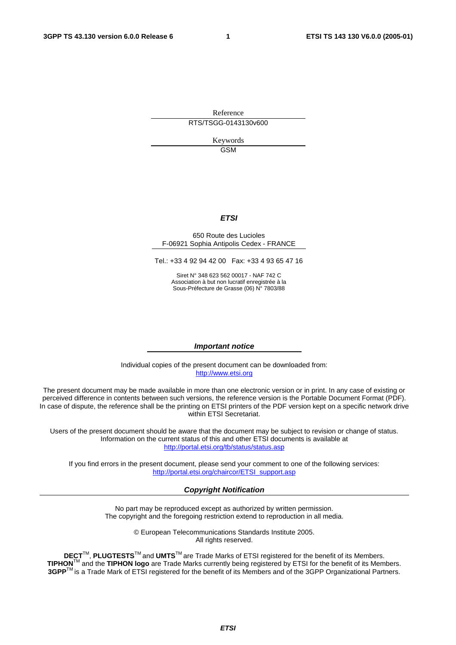Reference RTS/TSGG-0143130v600

> Keywords GSM

#### **ETSI**

#### 650 Route des Lucioles F-06921 Sophia Antipolis Cedex - FRANCE

Tel.: +33 4 92 94 42 00 Fax: +33 4 93 65 47 16

Siret N° 348 623 562 00017 - NAF 742 C Association à but non lucratif enregistrée à la Sous-Préfecture de Grasse (06) N° 7803/88

#### **Important notice**

Individual copies of the present document can be downloaded from: [http://www.etsi.org](http://www.etsi.org/)

The present document may be made available in more than one electronic version or in print. In any case of existing or perceived difference in contents between such versions, the reference version is the Portable Document Format (PDF). In case of dispute, the reference shall be the printing on ETSI printers of the PDF version kept on a specific network drive within ETSI Secretariat.

Users of the present document should be aware that the document may be subject to revision or change of status. Information on the current status of this and other ETSI documents is available at <http://portal.etsi.org/tb/status/status.asp>

If you find errors in the present document, please send your comment to one of the following services: [http://portal.etsi.org/chaircor/ETSI\\_support.asp](http://portal.etsi.org/chaircor/ETSI_support.asp)

#### **Copyright Notification**

No part may be reproduced except as authorized by written permission. The copyright and the foregoing restriction extend to reproduction in all media.

> © European Telecommunications Standards Institute 2005. All rights reserved.

**DECT**TM, **PLUGTESTS**TM and **UMTS**TM are Trade Marks of ETSI registered for the benefit of its Members. **TIPHON**TM and the **TIPHON logo** are Trade Marks currently being registered by ETSI for the benefit of its Members. **3GPP**TM is a Trade Mark of ETSI registered for the benefit of its Members and of the 3GPP Organizational Partners.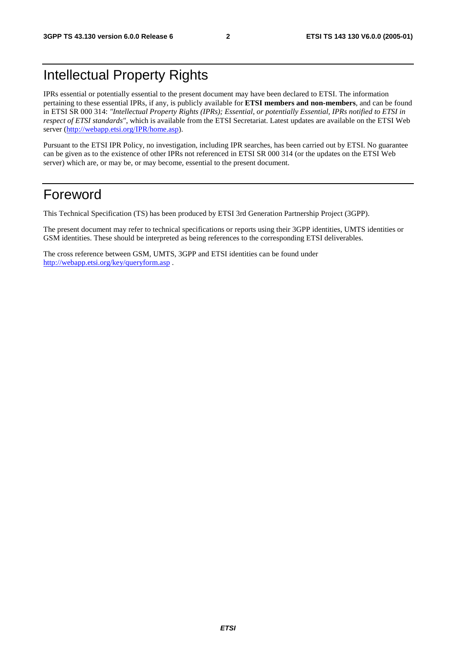# Intellectual Property Rights

IPRs essential or potentially essential to the present document may have been declared to ETSI. The information pertaining to these essential IPRs, if any, is publicly available for **ETSI members and non-members**, and can be found in ETSI SR 000 314: *"Intellectual Property Rights (IPRs); Essential, or potentially Essential, IPRs notified to ETSI in respect of ETSI standards"*, which is available from the ETSI Secretariat. Latest updates are available on the ETSI Web server ([http://webapp.etsi.org/IPR/home.asp\)](http://webapp.etsi.org/IPR/home.asp).

Pursuant to the ETSI IPR Policy, no investigation, including IPR searches, has been carried out by ETSI. No guarantee can be given as to the existence of other IPRs not referenced in ETSI SR 000 314 (or the updates on the ETSI Web server) which are, or may be, or may become, essential to the present document.

### Foreword

This Technical Specification (TS) has been produced by ETSI 3rd Generation Partnership Project (3GPP).

The present document may refer to technical specifications or reports using their 3GPP identities, UMTS identities or GSM identities. These should be interpreted as being references to the corresponding ETSI deliverables.

The cross reference between GSM, UMTS, 3GPP and ETSI identities can be found under <http://webapp.etsi.org/key/queryform.asp>.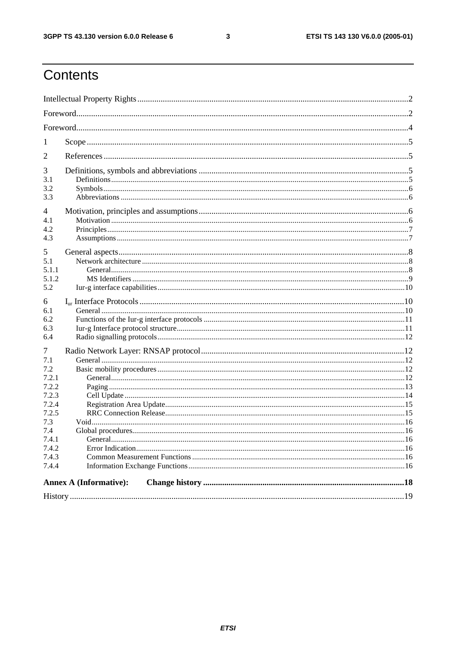$\mathbf{3}$ 

# Contents

| 1                                                                                                              |                               |  |  |  |
|----------------------------------------------------------------------------------------------------------------|-------------------------------|--|--|--|
| 2                                                                                                              |                               |  |  |  |
| 3<br>3.1<br>3.2<br>3.3                                                                                         |                               |  |  |  |
| 4<br>4.1<br>4.2<br>4.3                                                                                         |                               |  |  |  |
| 5<br>5.1<br>5.1.1<br>5.1.2<br>5.2                                                                              |                               |  |  |  |
| 6<br>6.1<br>6.2<br>6.3<br>6.4                                                                                  |                               |  |  |  |
| 7<br>7.1<br>7.2<br>7.2.1<br>7.2.2<br>7.2.3<br>7.2.4<br>7.2.5<br>7.3<br>7.4<br>7.4.1<br>7.4.2<br>7.4.3<br>7.4.4 |                               |  |  |  |
|                                                                                                                | <b>Annex A (Informative):</b> |  |  |  |
|                                                                                                                |                               |  |  |  |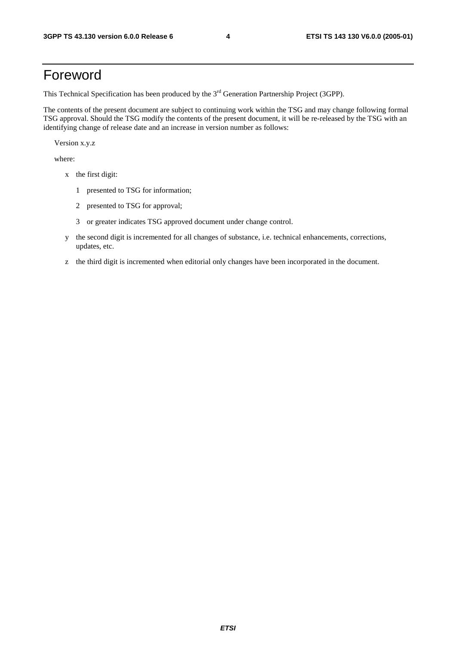# Foreword

This Technical Specification has been produced by the 3<sup>rd</sup> Generation Partnership Project (3GPP).

The contents of the present document are subject to continuing work within the TSG and may change following formal TSG approval. Should the TSG modify the contents of the present document, it will be re-released by the TSG with an identifying change of release date and an increase in version number as follows:

Version x.y.z

where:

- x the first digit:
	- 1 presented to TSG for information;
	- 2 presented to TSG for approval;
	- 3 or greater indicates TSG approved document under change control.
- y the second digit is incremented for all changes of substance, i.e. technical enhancements, corrections, updates, etc.
- z the third digit is incremented when editorial only changes have been incorporated in the document.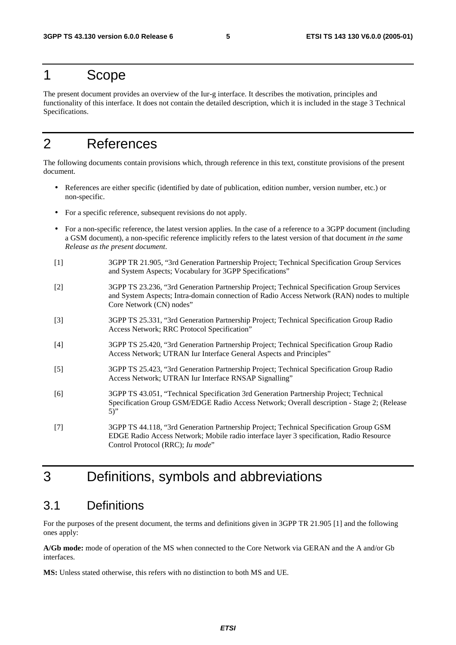### 1 Scope

The present document provides an overview of the Iur-g interface. It describes the motivation, principles and functionality of this interface. It does not contain the detailed description, which it is included in the stage 3 Technical Specifications.

# 2 References

The following documents contain provisions which, through reference in this text, constitute provisions of the present document.

- References are either specific (identified by date of publication, edition number, version number, etc.) or non-specific.
- For a specific reference, subsequent revisions do not apply.
- For a non-specific reference, the latest version applies. In the case of a reference to a 3GPP document (including a GSM document), a non-specific reference implicitly refers to the latest version of that document *in the same Release as the present document*.
- [1] 3GPP TR 21.905, "3rd Generation Partnership Project; Technical Specification Group Services and System Aspects; Vocabulary for 3GPP Specifications"
- [2] 3GPP TS 23.236, "3rd Generation Partnership Project; Technical Specification Group Services and System Aspects; Intra-domain connection of Radio Access Network (RAN) nodes to multiple Core Network (CN) nodes"
- [3] 3GPP TS 25.331, "3rd Generation Partnership Project; Technical Specification Group Radio Access Network; RRC Protocol Specification"
- [4] 3GPP TS 25.420, "3rd Generation Partnership Project; Technical Specification Group Radio Access Network; UTRAN Iur Interface General Aspects and Principles"
- [5] 3GPP TS 25.423, "3rd Generation Partnership Project; Technical Specification Group Radio Access Network; UTRAN Iur Interface RNSAP Signalling"
- [6] 3GPP TS 43.051, "Technical Specification 3rd Generation Partnership Project; Technical Specification Group GSM/EDGE Radio Access Network; Overall description - Stage 2; (Release 5)"
- [7] 3GPP TS 44.118, "3rd Generation Partnership Project; Technical Specification Group GSM EDGE Radio Access Network; Mobile radio interface layer 3 specification, Radio Resource Control Protocol (RRC); *Iu mode*"

# 3 Definitions, symbols and abbreviations

#### 3.1 Definitions

For the purposes of the present document, the terms and definitions given in 3GPP TR 21.905 [1] and the following ones apply:

**A/Gb mode:** mode of operation of the MS when connected to the Core Network via GERAN and the A and/or Gb interfaces.

**MS:** Unless stated otherwise, this refers with no distinction to both MS and UE.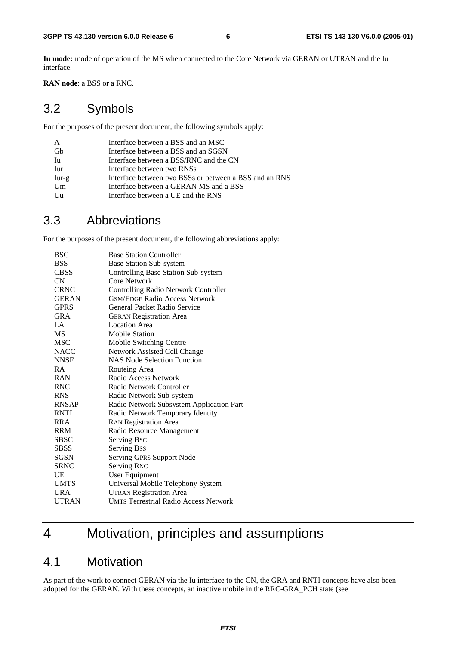**Iu mode:** mode of operation of the MS when connected to the Core Network via GERAN or UTRAN and the Iu interface.

**RAN node**: a BSS or a RNC.

#### 3.2 Symbols

For the purposes of the present document, the following symbols apply:

| A       | Interface between a BSS and an MSC                     |
|---------|--------------------------------------------------------|
| Gh      | Interface between a BSS and an SGSN                    |
| Iu      | Interface between a BSS/RNC and the CN                 |
| Iur     | Interface between two RNSs                             |
| $Iur-g$ | Interface between two BSSs or between a BSS and an RNS |
| Um      | Interface between a GERAN MS and a BSS                 |
| Uu      | Interface between a UE and the RNS                     |

#### 3.3 Abbreviations

For the purposes of the present document, the following abbreviations apply:

| <b>BSC</b>   | <b>Base Station Controller</b>               |
|--------------|----------------------------------------------|
| <b>BSS</b>   | <b>Base Station Sub-system</b>               |
| <b>CBSS</b>  | Controlling Base Station Sub-system          |
| CN           | Core Network                                 |
| <b>CRNC</b>  | <b>Controlling Radio Network Controller</b>  |
| <b>GERAN</b> | <b>GSM/EDGE Radio Access Network</b>         |
| <b>GPRS</b>  | General Packet Radio Service                 |
| <b>GRA</b>   | <b>GERAN Registration Area</b>               |
| LA.          | <b>Location Area</b>                         |
| MS           | <b>Mobile Station</b>                        |
| <b>MSC</b>   | Mobile Switching Centre                      |
| <b>NACC</b>  | Network Assisted Cell Change                 |
| <b>NNSF</b>  | <b>NAS Node Selection Function</b>           |
| R A          | Routeing Area                                |
| <b>RAN</b>   | Radio Access Network                         |
| <b>RNC</b>   | Radio Network Controller                     |
| <b>RNS</b>   | Radio Network Sub-system                     |
| <b>RNSAP</b> | Radio Network Subsystem Application Part     |
| <b>RNTI</b>  | Radio Network Temporary Identity             |
| <b>RRA</b>   | <b>RAN Registration Area</b>                 |
| <b>RRM</b>   | Radio Resource Management                    |
| SBSC         | Serving Bsc                                  |
| <b>SBSS</b>  | <b>Serving Bss</b>                           |
| <b>SGSN</b>  | Serving GPRS Support Node                    |
| <b>SRNC</b>  | <b>Serving RNC</b>                           |
| UE           | User Equipment                               |
| <b>UMTS</b>  | Universal Mobile Telephony System            |
| <b>URA</b>   | <b>UTRAN Registration Area</b>               |
| <b>UTRAN</b> | <b>UMTS Terrestrial Radio Access Network</b> |
|              |                                              |

# 4 Motivation, principles and assumptions

#### 4.1 Motivation

As part of the work to connect GERAN via the Iu interface to the CN, the GRA and RNTI concepts have also been adopted for the GERAN. With these concepts, an inactive mobile in the RRC-GRA\_PCH state (see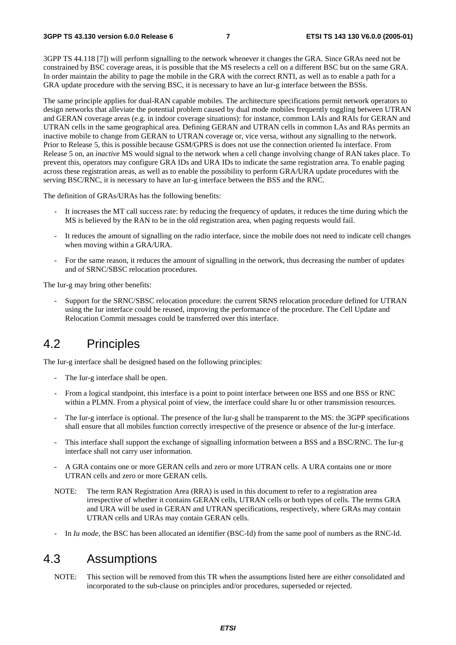3GPP TS 44.118 [7]) will perform signalling to the network whenever it changes the GRA. Since GRAs need not be constrained by BSC coverage areas, it is possible that the MS reselects a cell on a different BSC but on the same GRA. In order maintain the ability to page the mobile in the GRA with the correct RNTI, as well as to enable a path for a GRA update procedure with the serving BSC, it is necessary to have an Iur-g interface between the BSSs.

The same principle applies for dual-RAN capable mobiles. The architecture specifications permit network operators to design networks that alleviate the potential problem caused by dual mode mobiles frequently toggling between UTRAN and GERAN coverage areas (e.g. in indoor coverage situations): for instance, common LAIs and RAIs for GERAN and UTRAN cells in the same geographical area. Defining GERAN and UTRAN cells in common LAs and RAs permits an inactive mobile to change from GERAN to UTRAN coverage or, vice versa, without any signalling to the network. Prior to Release 5, this is possible because GSM/GPRS is does not use the connection oriented Iu interface. From Release 5 on, an *inactive* MS would signal to the network when a cell change involving change of RAN takes place. To prevent this, operators may configure GRA IDs and URA IDs to indicate the same registration area. To enable paging across these registration areas, as well as to enable the possibility to perform GRA/URA update procedures with the serving BSC/RNC, it is necessary to have an Iur-g interface between the BSS and the RNC.

The definition of GRAs/URAs has the following benefits:

- It increases the MT call success rate: by reducing the frequency of updates, it reduces the time during which the MS is believed by the RAN to be in the old registration area, when paging requests would fail.
- It reduces the amount of signalling on the radio interface, since the mobile does not need to indicate cell changes when moving within a GRA/URA.
- For the same reason, it reduces the amount of signalling in the network, thus decreasing the number of updates and of SRNC/SBSC relocation procedures.

The Iur-g may bring other benefits:

- Support for the SRNC/SBSC relocation procedure: the current SRNS relocation procedure defined for UTRAN using the Iur interface could be reused, improving the performance of the procedure. The Cell Update and Relocation Commit messages could be transferred over this interface.

#### 4.2 Principles

The Iur-g interface shall be designed based on the following principles:

- The Iur-g interface shall be open.
- From a logical standpoint, this interface is a point to point interface between one BSS and one BSS or RNC within a PLMN. From a physical point of view, the interface could share Iu or other transmission resources.
- The Iur-g interface is optional. The presence of the Iur-g shall be transparent to the MS: the 3GPP specifications shall ensure that all mobiles function correctly irrespective of the presence or absence of the Iur-g interface.
- This interface shall support the exchange of signalling information between a BSS and a BSC/RNC. The Iur-g interface shall not carry user information.
- A GRA contains one or more GERAN cells and zero or more UTRAN cells. A URA contains one or more UTRAN cells and zero or more GERAN cells.
- NOTE: The term RAN Registration Area (RRA) is used in this document to refer to a registration area irrespective of whether it contains GERAN cells, UTRAN cells or both types of cells. The terms GRA and URA will be used in GERAN and UTRAN specifications, respectively, where GRAs may contain UTRAN cells and URAs may contain GERAN cells.
- In *Iu mode*, the BSC has been allocated an identifier (BSC-Id) from the same pool of numbers as the RNC-Id.

### 4.3 Assumptions

NOTE: This section will be removed from this TR when the assumptions listed here are either consolidated and incorporated to the sub-clause on principles and/or procedures, superseded or rejected.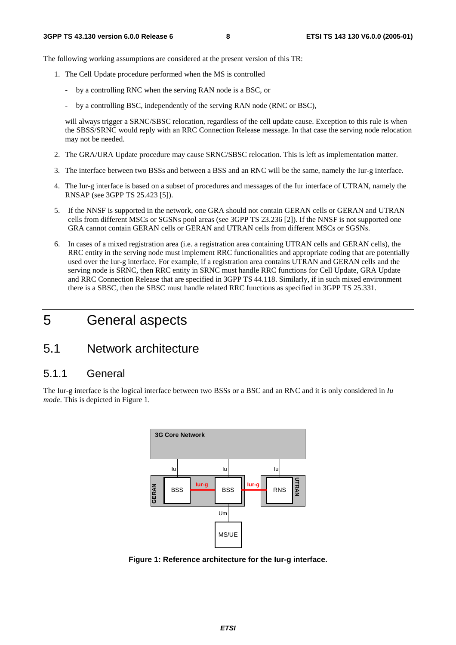The following working assumptions are considered at the present version of this TR:

- 1. The Cell Update procedure performed when the MS is controlled
	- by a controlling RNC when the serving RAN node is a BSC, or
	- by a controlling BSC, independently of the serving RAN node (RNC or BSC),

will always trigger a SRNC/SBSC relocation, regardless of the cell update cause. Exception to this rule is when the SBSS/SRNC would reply with an RRC Connection Release message. In that case the serving node relocation may not be needed.

- 2. The GRA/URA Update procedure may cause SRNC/SBSC relocation. This is left as implementation matter.
- 3. The interface between two BSSs and between a BSS and an RNC will be the same, namely the Iur-g interface.
- 4. The Iur-g interface is based on a subset of procedures and messages of the Iur interface of UTRAN, namely the RNSAP (see 3GPP TS 25.423 [5]).
- 5. If the NNSF is supported in the network, one GRA should not contain GERAN cells or GERAN and UTRAN cells from different MSCs or SGSNs pool areas (see 3GPP TS 23.236 [2]). If the NNSF is not supported one GRA cannot contain GERAN cells or GERAN and UTRAN cells from different MSCs or SGSNs.
- 6. In cases of a mixed registration area (i.e. a registration area containing UTRAN cells and GERAN cells), the RRC entity in the serving node must implement RRC functionalities and appropriate coding that are potentially used over the Iur-g interface. For example, if a registration area contains UTRAN and GERAN cells and the serving node is SRNC, then RRC entity in SRNC must handle RRC functions for Cell Update, GRA Update and RRC Connection Release that are specified in 3GPP TS 44.118. Similarly, if in such mixed environment there is a SBSC, then the SBSC must handle related RRC functions as specified in 3GPP TS 25.331.

# 5 General aspects

### 5.1 Network architecture

#### 5.1.1 General

The Iur-g interface is the logical interface between two BSSs or a BSC and an RNC and it is only considered in *Iu mode*. This is depicted in Figure 1.



**Figure 1: Reference architecture for the Iur-g interface.**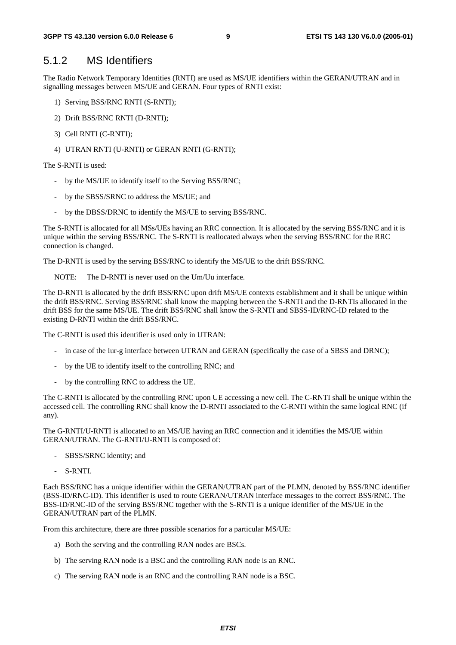#### 5.1.2 MS Identifiers

The Radio Network Temporary Identities (RNTI) are used as MS/UE identifiers within the GERAN/UTRAN and in signalling messages between MS/UE and GERAN. Four types of RNTI exist:

- 1) Serving BSS/RNC RNTI (S-RNTI);
- 2) Drift BSS/RNC RNTI (D-RNTI);
- 3) Cell RNTI (C-RNTI);
- 4) UTRAN RNTI (U-RNTI) or GERAN RNTI (G-RNTI);

The S-RNTI is used:

- by the MS/UE to identify itself to the Serving BSS/RNC;
- by the SBSS/SRNC to address the MS/UE; and
- by the DBSS/DRNC to identify the MS/UE to serving BSS/RNC.

The S-RNTI is allocated for all MSs/UEs having an RRC connection. It is allocated by the serving BSS/RNC and it is unique within the serving BSS/RNC. The S-RNTI is reallocated always when the serving BSS/RNC for the RRC connection is changed.

The D-RNTI is used by the serving BSS/RNC to identify the MS/UE to the drift BSS/RNC.

NOTE: The D-RNTI is never used on the Um/Uu interface.

The D-RNTI is allocated by the drift BSS/RNC upon drift MS/UE contexts establishment and it shall be unique within the drift BSS/RNC. Serving BSS/RNC shall know the mapping between the S-RNTI and the D-RNTIs allocated in the drift BSS for the same MS/UE. The drift BSS/RNC shall know the S-RNTI and SBSS-ID/RNC-ID related to the existing D-RNTI within the drift BSS/RNC.

The C-RNTI is used this identifier is used only in UTRAN:

- in case of the Iur-g interface between UTRAN and GERAN (specifically the case of a SBSS and DRNC);
- by the UE to identify itself to the controlling RNC; and
- by the controlling RNC to address the UE.

The C-RNTI is allocated by the controlling RNC upon UE accessing a new cell. The C-RNTI shall be unique within the accessed cell. The controlling RNC shall know the D-RNTI associated to the C-RNTI within the same logical RNC (if any).

The G-RNTI/U-RNTI is allocated to an MS/UE having an RRC connection and it identifies the MS/UE within GERAN/UTRAN. The G-RNTI/U-RNTI is composed of:

- SBSS/SRNC identity; and
- S-RNTI.

Each BSS/RNC has a unique identifier within the GERAN/UTRAN part of the PLMN, denoted by BSS/RNC identifier (BSS-ID/RNC-ID). This identifier is used to route GERAN/UTRAN interface messages to the correct BSS/RNC. The BSS-ID/RNC-ID of the serving BSS/RNC together with the S-RNTI is a unique identifier of the MS/UE in the GERAN/UTRAN part of the PLMN.

From this architecture, there are three possible scenarios for a particular MS/UE:

- a) Both the serving and the controlling RAN nodes are BSCs.
- b) The serving RAN node is a BSC and the controlling RAN node is an RNC.
- c) The serving RAN node is an RNC and the controlling RAN node is a BSC.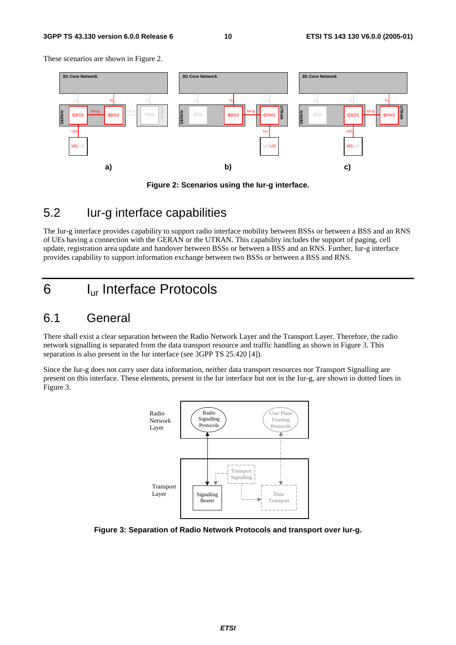#### **3GPP TS 43.130 version 6.0.0 Release 6 10 ETSI TS 143 130 V6.0.0 (2005-01)**

These scenarios are shown in Figure 2.





#### 5.2 Iur-g interface capabilities

The Iur-g interface provides capability to support radio interface mobility between BSSs or between a BSS and an RNS of UEs having a connection with the GERAN or the UTRAN. This capability includes the support of paging, cell update, registration area update and handover between BSSs or between a BSS and an RNS. Further, Iur-g interface provides capability to support information exchange between two BSSs or between a BSS and RNS.

# 6 Iur Interface Protocols

### 6.1 General

There shall exist a clear separation between the Radio Network Layer and the Transport Layer. Therefore, the radio network signalling is separated from the data transport resource and traffic handling as shown in Figure 3. This separation is also present in the Iur interface (see 3GPP TS 25.420 [4]).

Since the Iur-g does not carry user data information, neither data transport resources nor Transport Signalling are present on this interface. These elements, present in the Iur interface but not in the Iur-g, are shown in dotted lines in Figure 3.



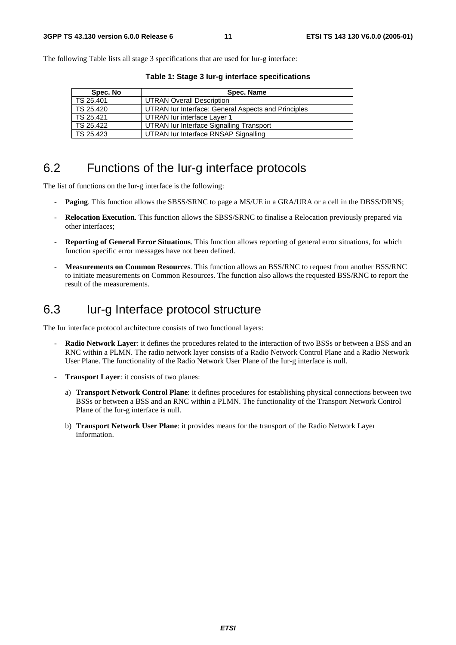The following Table lists all stage 3 specifications that are used for Iur-g interface:

| Spec. No  | Spec. Name                                          |
|-----------|-----------------------------------------------------|
| TS 25.401 | <b>UTRAN Overall Description</b>                    |
| TS 25.420 | UTRAN Iur Interface: General Aspects and Principles |
| TS 25.421 | UTRAN lur interface Layer 1                         |
| TS 25.422 | UTRAN lur Interface Signalling Transport            |
| TS 25.423 | UTRAN Iur Interface RNSAP Signalling                |

**Table 1: Stage 3 Iur-g interface specifications** 

### 6.2 Functions of the Iur-g interface protocols

The list of functions on the Iur-g interface is the following:

- **Paging**. This function allows the SBSS/SRNC to page a MS/UE in a GRA/URA or a cell in the DBSS/DRNS;
- **Relocation Execution**. This function allows the SBSS/SRNC to finalise a Relocation previously prepared via other interfaces;
- **Reporting of General Error Situations**. This function allows reporting of general error situations, for which function specific error messages have not been defined.
- **Measurements on Common Resources**. This function allows an BSS/RNC to request from another BSS/RNC to initiate measurements on Common Resources. The function also allows the requested BSS/RNC to report the result of the measurements.

# 6.3 Iur-g Interface protocol structure

The Iur interface protocol architecture consists of two functional layers:

- **Radio Network Layer**: it defines the procedures related to the interaction of two BSSs or between a BSS and an RNC within a PLMN. The radio network layer consists of a Radio Network Control Plane and a Radio Network User Plane. The functionality of the Radio Network User Plane of the Iur-g interface is null.
- **Transport Layer:** it consists of two planes:
	- a) **Transport Network Control Plane**: it defines procedures for establishing physical connections between two BSSs or between a BSS and an RNC within a PLMN. The functionality of the Transport Network Control Plane of the Iur-g interface is null.
	- b) **Transport Network User Plane**: it provides means for the transport of the Radio Network Layer information.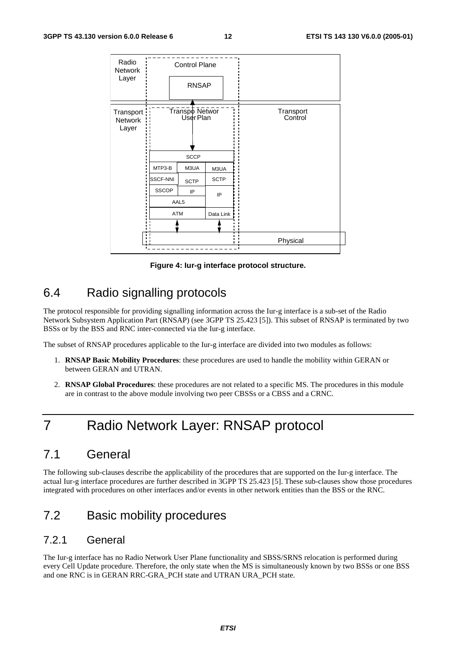| Radio<br>Network<br>Layer     |                                                  | <b>Control Plane</b><br><b>RNSAP</b>                                            |                                        |                      |  |
|-------------------------------|--------------------------------------------------|---------------------------------------------------------------------------------|----------------------------------------|----------------------|--|
| Transport<br>Network<br>Layer | MTP3-B<br>SSCF-NNI<br><b>SSCOP</b><br><b>ATM</b> | Transpo Networ<br>User Plan<br><b>SCCP</b><br>M3UA<br><b>SCTP</b><br>IP<br>AAL5 | M3UA<br><b>SCTP</b><br>IP<br>Data Link | Transport<br>Control |  |
| п<br>п                        |                                                  |                                                                                 |                                        | Physical             |  |

**Figure 4: Iur-g interface protocol structure.** 

## 6.4 Radio signalling protocols

The protocol responsible for providing signalling information across the Iur-g interface is a sub-set of the Radio Network Subsystem Application Part (RNSAP) (see 3GPP TS 25.423 [5]). This subset of RNSAP is terminated by two BSSs or by the BSS and RNC inter-connected via the Iur-g interface.

The subset of RNSAP procedures applicable to the Iur-g interface are divided into two modules as follows:

- 1. **RNSAP Basic Mobility Procedures**: these procedures are used to handle the mobility within GERAN or between GERAN and UTRAN.
- 2. **RNSAP Global Procedures**: these procedures are not related to a specific MS. The procedures in this module are in contrast to the above module involving two peer CBSSs or a CBSS and a CRNC.

# 7 Radio Network Layer: RNSAP protocol

### 7.1 General

The following sub-clauses describe the applicability of the procedures that are supported on the Iur-g interface. The actual Iur-g interface procedures are further described in 3GPP TS 25.423 [5]. These sub-clauses show those procedures integrated with procedures on other interfaces and/or events in other network entities than the BSS or the RNC.

### 7.2 Basic mobility procedures

#### 7.2.1 General

The Iur-g interface has no Radio Network User Plane functionality and SBSS/SRNS relocation is performed during every Cell Update procedure. Therefore, the only state when the MS is simultaneously known by two BSSs or one BSS and one RNC is in GERAN RRC-GRA\_PCH state and UTRAN URA\_PCH state.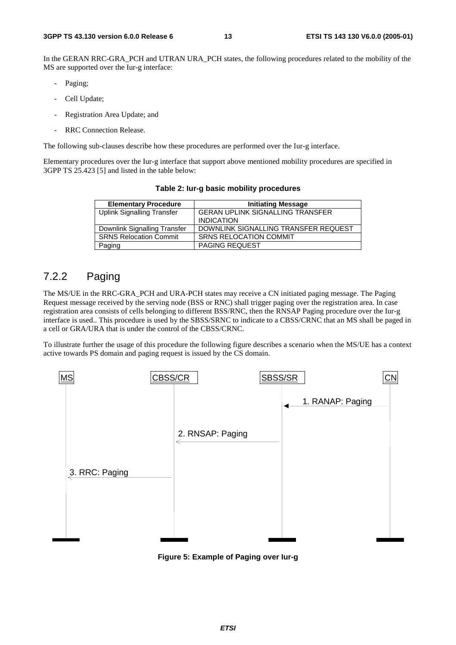In the GERAN RRC-GRA PCH and UTRAN URA PCH states, the following procedures related to the mobility of the MS are supported over the Iur-g interface:

- Paging;
- Cell Update;
- Registration Area Update; and
- RRC Connection Release.

The following sub-clauses describe how these procedures are performed over the Iur-g interface.

Elementary procedures over the Iur-g interface that support above mentioned mobility procedures are specified in 3GPP TS 25.423 [5] and listed in the table below:

| <b>Elementary Procedure</b>       | <b>Initiating Message</b>               |
|-----------------------------------|-----------------------------------------|
| <b>Uplink Signalling Transfer</b> | <b>GERAN UPLINK SIGNALLING TRANSFER</b> |
|                                   | <b>INDICATION</b>                       |
| Downlink Signalling Transfer      | DOWNLINK SIGNALLING TRANSFER REQUEST    |
| <b>SRNS Relocation Commit</b>     | <b>SRNS RELOCATION COMMIT</b>           |
| Paging                            | <b>PAGING REQUEST</b>                   |

**Table 2: Iur-g basic mobility procedures** 

#### 7.2.2 Paging

The MS/UE in the RRC-GRA\_PCH and URA-PCH states may receive a CN initiated paging message. The Paging Request message received by the serving node (BSS or RNC) shall trigger paging over the registration area. In case registration area consists of cells belonging to different BSS/RNC, then the RNSAP Paging procedure over the Iur-g interface is used.. This procedure is used by the SBSS/SRNC to indicate to a CBSS/CRNC that an MS shall be paged in a cell or GRA/URA that is under the control of the CBSS/CRNC.

To illustrate further the usage of this procedure the following figure describes a scenario when the MS/UE has a context active towards PS domain and paging request is issued by the CS domain.



**Figure 5: Example of Paging over Iur-g**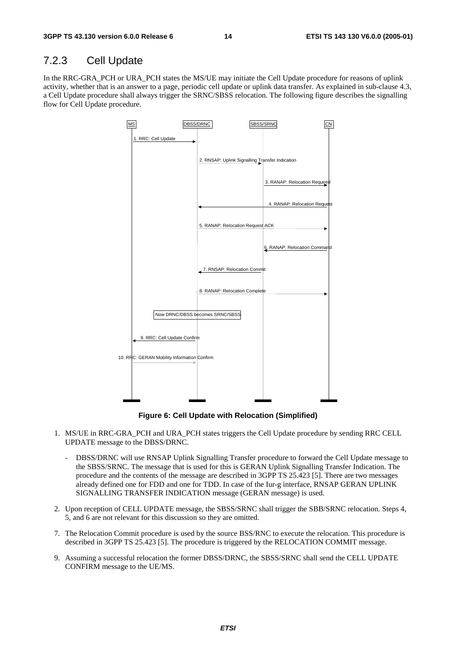#### 7.2.3 Cell Update

In the RRC-GRA\_PCH or URA\_PCH states the MS/UE may initiate the Cell Update procedure for reasons of uplink activity, whether that is an answer to a page, periodic cell update or uplink data transfer. As explained in sub-clause 4.3, a Cell Update procedure shall always trigger the SRNC/SBSS relocation. The following figure describes the signalling flow for Cell Update procedure.



**Figure 6: Cell Update with Relocation (Simplified)** 

- 1. MS/UE in RRC-GRA\_PCH and URA\_PCH states triggers the Cell Update procedure by sending RRC CELL UPDATE message to the DBSS/DRNC.
	- DBSS/DRNC will use RNSAP Uplink Signalling Transfer procedure to forward the Cell Update message to the SBSS/SRNC. The message that is used for this is GERAN Uplink Signalling Transfer Indication. The procedure and the contents of the message are described in 3GPP TS 25.423 [5]. There are two messages already defined one for FDD and one for TDD. In case of the Iur-g interface, RNSAP GERAN UPLINK SIGNALLING TRANSFER INDICATION message (GERAN message) is used.
- 2. Upon reception of CELL UPDATE message, the SBSS/SRNC shall trigger the SBB/SRNC relocation. Steps 4, 5, and 6 are not relevant for this discussion so they are omitted.
- 7. The Relocation Commit procedure is used by the source BSS/RNC to execute the relocation. This procedure is described in 3GPP TS 25.423 [5]. The procedure is triggered by the RELOCATION COMMIT message.
- 9. Assuming a successful relocation the former DBSS/DRNC, the SBSS/SRNC shall send the CELL UPDATE CONFIRM message to the UE/MS.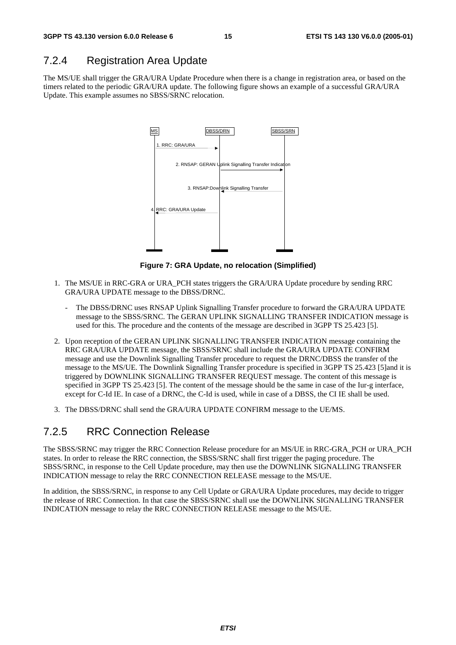#### 7.2.4 Registration Area Update

The MS/UE shall trigger the GRA/URA Update Procedure when there is a change in registration area, or based on the timers related to the periodic GRA/URA update. The following figure shows an example of a successful GRA/URA Update. This example assumes no SBSS/SRNC relocation.



**Figure 7: GRA Update, no relocation (Simplified)** 

- 1. The MS/UE in RRC-GRA or URA\_PCH states triggers the GRA/URA Update procedure by sending RRC GRA/URA UPDATE message to the DBSS/DRNC.
	- The DBSS/DRNC uses RNSAP Uplink Signalling Transfer procedure to forward the GRA/URA UPDATE message to the SBSS/SRNC. The GERAN UPLINK SIGNALLING TRANSFER INDICATION message is used for this. The procedure and the contents of the message are described in 3GPP TS 25.423 [5].
- 2. Upon reception of the GERAN UPLINK SIGNALLING TRANSFER INDICATION message containing the RRC GRA/URA UPDATE message, the SBSS/SRNC shall include the GRA/URA UPDATE CONFIRM message and use the Downlink Signalling Transfer procedure to request the DRNC/DBSS the transfer of the message to the MS/UE. The Downlink Signalling Transfer procedure is specified in 3GPP TS 25.423 [5]and it is triggered by DOWNLINK SIGNALLING TRANSFER REQUEST message. The content of this message is specified in 3GPP TS 25.423 [5]. The content of the message should be the same in case of the Iur-g interface, except for C-Id IE. In case of a DRNC, the C-Id is used, while in case of a DBSS, the CI IE shall be used.
- 3. The DBSS/DRNC shall send the GRA/URA UPDATE CONFIRM message to the UE/MS.

#### 7.2.5 RRC Connection Release

The SBSS/SRNC may trigger the RRC Connection Release procedure for an MS/UE in RRC-GRA\_PCH or URA\_PCH states. In order to release the RRC connection, the SBSS/SRNC shall first trigger the paging procedure. The SBSS/SRNC, in response to the Cell Update procedure, may then use the DOWNLINK SIGNALLING TRANSFER INDICATION message to relay the RRC CONNECTION RELEASE message to the MS/UE.

In addition, the SBSS/SRNC, in response to any Cell Update or GRA/URA Update procedures, may decide to trigger the release of RRC Connection. In that case the SBSS/SRNC shall use the DOWNLINK SIGNALLING TRANSFER INDICATION message to relay the RRC CONNECTION RELEASE message to the MS/UE.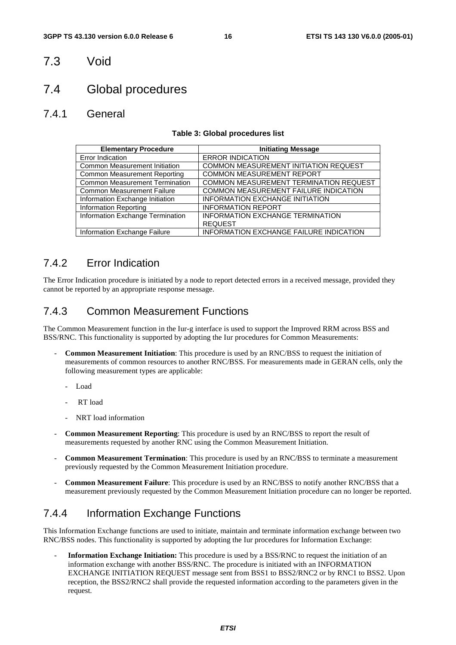#### 7.3 Void

### 7.4 Global procedures

#### 7.4.1 General

#### **Table 3: Global procedures list**

| <b>Elementary Procedure</b>           | <b>Initiating Message</b>                      |
|---------------------------------------|------------------------------------------------|
| Error Indication                      | <b>ERROR INDICATION</b>                        |
| <b>Common Measurement Initiation</b>  | COMMON MEASUREMENT INITIATION REQUEST          |
| <b>Common Measurement Reporting</b>   | <b>COMMON MEASUREMENT REPORT</b>               |
| <b>Common Measurement Termination</b> | COMMON MEASUREMENT TERMINATION REQUEST         |
| <b>Common Measurement Failure</b>     | COMMON MEASUREMENT FAILURE INDICATION          |
| Information Exchange Initiation       | <b>INFORMATION EXCHANGE INITIATION</b>         |
| <b>Information Reporting</b>          | <b>INFORMATION REPORT</b>                      |
| Information Exchange Termination      | <b>INFORMATION EXCHANGE TERMINATION</b>        |
|                                       | <b>REQUEST</b>                                 |
| Information Exchange Failure          | <b>INFORMATION EXCHANGE FAILURE INDICATION</b> |

#### 7.4.2 Error Indication

The Error Indication procedure is initiated by a node to report detected errors in a received message, provided they cannot be reported by an appropriate response message.

#### 7.4.3 Common Measurement Functions

The Common Measurement function in the Iur-g interface is used to support the Improved RRM across BSS and BSS/RNC. This functionality is supported by adopting the Iur procedures for Common Measurements:

- **Common Measurement Initiation**: This procedure is used by an RNC/BSS to request the initiation of measurements of common resources to another RNC/BSS. For measurements made in GERAN cells, only the following measurement types are applicable:
	- Load
	- RT load
	- NRT load information
- **Common Measurement Reporting**: This procedure is used by an RNC/BSS to report the result of measurements requested by another RNC using the Common Measurement Initiation.
- **Common Measurement Termination**: This procedure is used by an RNC/BSS to terminate a measurement previously requested by the Common Measurement Initiation procedure.
- **Common Measurement Failure**: This procedure is used by an RNC/BSS to notify another RNC/BSS that a measurement previously requested by the Common Measurement Initiation procedure can no longer be reported.

#### 7.4.4 Information Exchange Functions

This Information Exchange functions are used to initiate, maintain and terminate information exchange between two RNC/BSS nodes. This functionality is supported by adopting the Iur procedures for Information Exchange:

- **Information Exchange Initiation:** This procedure is used by a BSS/RNC to request the initiation of an information exchange with another BSS/RNC. The procedure is initiated with an INFORMATION EXCHANGE INITIATION REQUEST message sent from BSS1 to BSS2/RNC2 or by RNC1 to BSS2. Upon reception, the BSS2/RNC2 shall provide the requested information according to the parameters given in the request.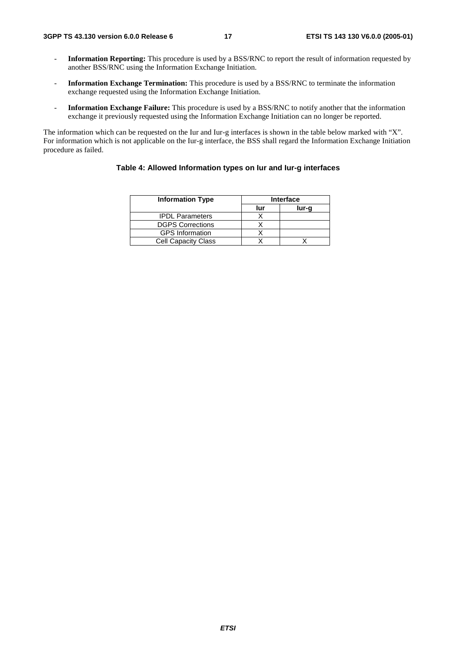- **Information Reporting:** This procedure is used by a BSS/RNC to report the result of information requested by another BSS/RNC using the Information Exchange Initiation.
- **Information Exchange Termination:** This procedure is used by a BSS/RNC to terminate the information exchange requested using the Information Exchange Initiation.
- **Information Exchange Failure:** This procedure is used by a BSS/RNC to notify another that the information exchange it previously requested using the Information Exchange Initiation can no longer be reported.

The information which can be requested on the Iur and Iur-g interfaces is shown in the table below marked with "X". For information which is not applicable on the Iur-g interface, the BSS shall regard the Information Exchange Initiation procedure as failed.

#### **Table 4: Allowed Information types on Iur and Iur-g interfaces**

| <b>Information Type</b>    |     | <b>Interface</b> |
|----------------------------|-----|------------------|
|                            | lur | lur-g            |
| <b>IPDL Parameters</b>     |     |                  |
| <b>DGPS Corrections</b>    |     |                  |
| <b>GPS</b> Information     |     |                  |
| <b>Cell Capacity Class</b> |     |                  |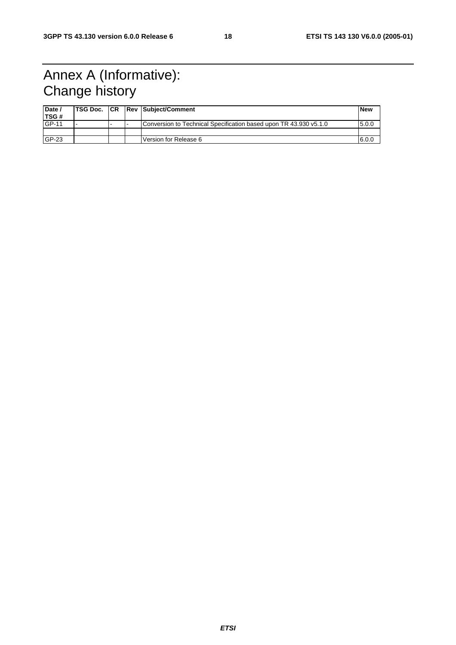# Annex A (Informative): Change history

| Date /<br>TSG# |  | <b>TSG Doc. CR Rev Subject/Comment</b>                            | l New |
|----------------|--|-------------------------------------------------------------------|-------|
| <b>GP-11</b>   |  | Conversion to Technical Specification based upon TR 43.930 v5.1.0 | 5.0.0 |
|                |  |                                                                   |       |
| $GP-23$        |  | Version for Release 6                                             | 6.0.0 |